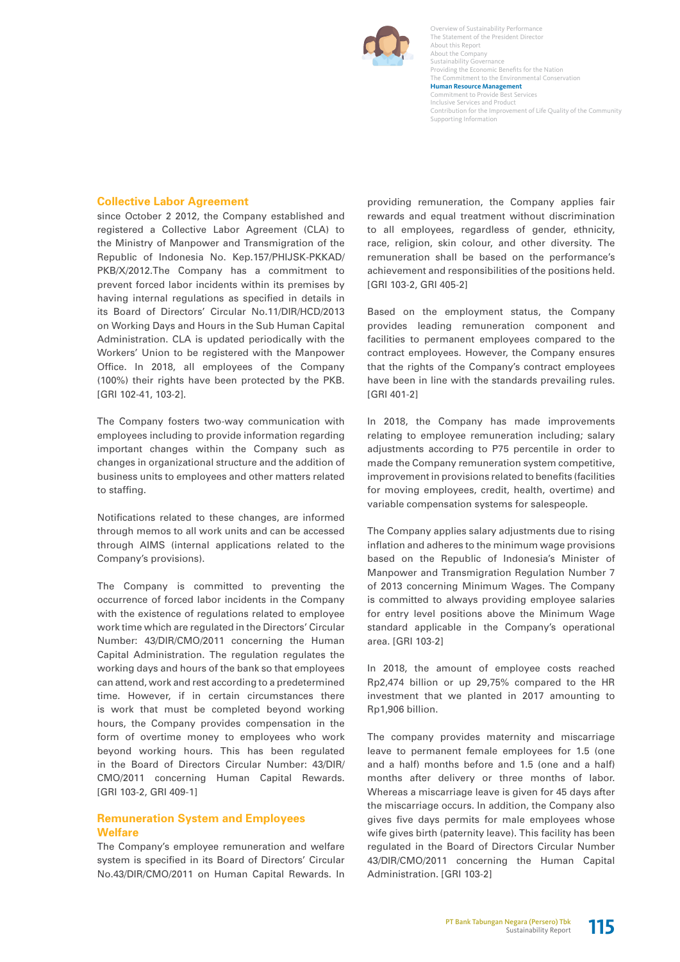

Overview of Sustainability Performance The Statement of the President Director About this Report About the Company Sustainability Governance Providing the Economic Benefits for the Nation The Commitment to the Environmental Conservation **Human Resource Management**  Commitment to Provide Best Services Inclusive Services and Product Contribution for the Improvement of Life Quality of the Community Supporting Information

### **Collective Labor Agreement**

since October 2 2012, the Company established and registered a Collective Labor Agreement (CLA) to the Ministry of Manpower and Transmigration of the Republic of Indonesia No. Kep.157/PHIJSK-PKKAD/ PKB/X/2012.The Company has a commitment to prevent forced labor incidents within its premises by having internal regulations as specified in details in its Board of Directors' Circular No.11/DIR/HCD/2013 on Working Days and Hours in the Sub Human Capital Administration. CLA is updated periodically with the Workers' Union to be registered with the Manpower Office. In 2018, all employees of the Company (100%) their rights have been protected by the PKB. [GRI 102-41, 103-2].

The Company fosters two-way communication with employees including to provide information regarding important changes within the Company such as changes in organizational structure and the addition of business units to employees and other matters related to staffing.

Notifications related to these changes, are informed through memos to all work units and can be accessed through AIMS (internal applications related to the Company's provisions).

The Company is committed to preventing the occurrence of forced labor incidents in the Company with the existence of regulations related to employee work time which are regulated in the Directors' Circular Number: 43/DIR/CMO/2011 concerning the Human Capital Administration. The regulation regulates the working days and hours of the bank so that employees can attend, work and rest according to a predetermined time. However, if in certain circumstances there is work that must be completed beyond working hours, the Company provides compensation in the form of overtime money to employees who work beyond working hours. This has been regulated in the Board of Directors Circular Number: 43/DIR/ CMO/2011 concerning Human Capital Rewards. [GRI 103-2, GRI 409-1]

## **Remuneration System and Employees Welfare**

The Company's employee remuneration and welfare system is specified in its Board of Directors' Circular No.43/DIR/CMO/2011 on Human Capital Rewards. In providing remuneration, the Company applies fair rewards and equal treatment without discrimination to all employees, regardless of gender, ethnicity, race, religion, skin colour, and other diversity. The remuneration shall be based on the performance's achievement and responsibilities of the positions held. [GRI 103-2, GRI 405-2]

Based on the employment status, the Company provides leading remuneration component and facilities to permanent employees compared to the contract employees. However, the Company ensures that the rights of the Company's contract employees have been in line with the standards prevailing rules. [GRI 401-2]

In 2018, the Company has made improvements relating to employee remuneration including; salary adjustments according to P75 percentile in order to made the Company remuneration system competitive, improvement in provisions related to benefits (facilities for moving employees, credit, health, overtime) and variable compensation systems for salespeople.

The Company applies salary adjustments due to rising inflation and adheres to the minimum wage provisions based on the Republic of Indonesia's Minister of Manpower and Transmigration Regulation Number 7 of 2013 concerning Minimum Wages. The Company is committed to always providing employee salaries for entry level positions above the Minimum Wage standard applicable in the Company's operational area. [GRI 103-2]

In 2018, the amount of employee costs reached Rp2,474 billion or up 29,75% compared to the HR investment that we planted in 2017 amounting to Rp1,906 billion.

The company provides maternity and miscarriage leave to permanent female employees for 1.5 (one and a half) months before and 1.5 (one and a half) months after delivery or three months of labor. Whereas a miscarriage leave is given for 45 days after the miscarriage occurs. In addition, the Company also gives five days permits for male employees whose wife gives birth (paternity leave). This facility has been regulated in the Board of Directors Circular Number 43/DIR/CMO/2011 concerning the Human Capital Administration. [GRI 103-2]